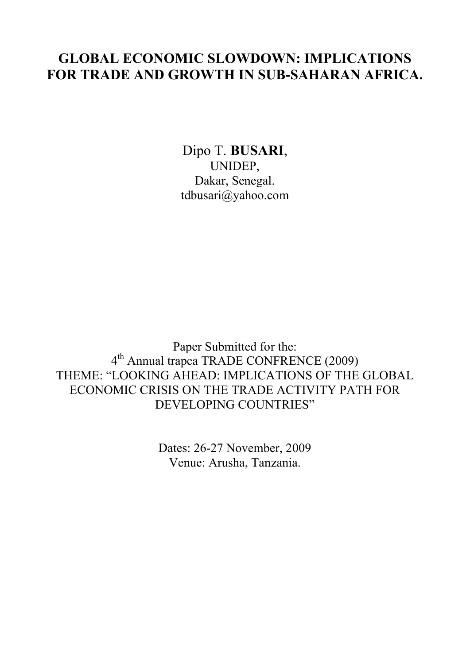# **GLOBAL ECONOMIC SLOWDOWN: IMPLICATIONS FOR TRADE AND GROWTH IN SUB-SAHARAN AFRICA.**

Dipo T. **BUSARI**, UNIDEP, Dakar, Senegal. tdbusari@yahoo.com

Paper Submitted for the: 4th Annual trapca TRADE CONFRENCE (2009) THEME: "LOOKING AHEAD: IMPLICATIONS OF THE GLOBAL ECONOMIC CRISIS ON THE TRADE ACTIVITY PATH FOR DEVELOPING COUNTRIES"

> Dates: 26-27 November, 2009 Venue: Arusha, Tanzania.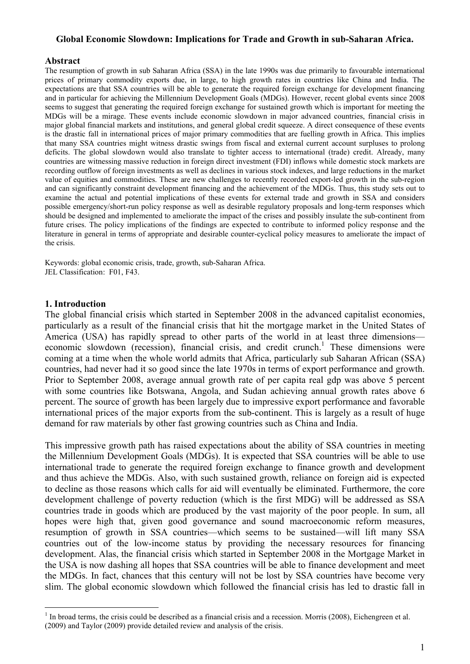#### **Global Economic Slowdown: Implications for Trade and Growth in sub-Saharan Africa.**

#### **Abstract**

The resumption of growth in sub Saharan Africa (SSA) in the late 1990s was due primarily to favourable international prices of primary commodity exports due, in large, to high growth rates in countries like China and India. The expectations are that SSA countries will be able to generate the required foreign exchange for development financing and in particular for achieving the Millennium Development Goals (MDGs). However, recent global events since 2008 seems to suggest that generating the required foreign exchange for sustained growth which is important for meeting the MDGs will be a mirage. These events include economic slowdown in major advanced countries, financial crisis in major global financial markets and institutions, and general global credit squeeze. A direct consequence of these events is the drastic fall in international prices of major primary commodities that are fuelling growth in Africa. This implies that many SSA countries might witness drastic swings from fiscal and external current account surpluses to prolong deficits. The global slowdown would also translate to tighter access to international (trade) credit. Already, many countries are witnessing massive reduction in foreign direct investment (FDI) inflows while domestic stock markets are recording outflow of foreign investments as well as declines in various stock indexes, and large reductions in the market value of equities and commodities. These are new challenges to recently recorded export-led growth in the sub-region and can significantly constraint development financing and the achievement of the MDGs. Thus, this study sets out to examine the actual and potential implications of these events for external trade and growth in SSA and considers possible emergency/short-run policy response as well as desirable regulatory proposals and long-term responses which should be designed and implemented to ameliorate the impact of the crises and possibly insulate the sub-continent from future crises. The policy implications of the findings are expected to contribute to informed policy response and the literature in general in terms of appropriate and desirable counter-cyclical policy measures to ameliorate the impact of the crisis.

Keywords: global economic crisis, trade, growth, sub-Saharan Africa. JEL Classification: F01, F43.

## **1. Introduction**

 $\overline{a}$ 

The global financial crisis which started in September 2008 in the advanced capitalist economies, particularly as a result of the financial crisis that hit the mortgage market in the United States of America (USA) has rapidly spread to other parts of the world in at least three dimensions economic slowdown (recession), financial crisis, and credit crunch.<sup>1</sup> These dimensions were coming at a time when the whole world admits that Africa, particularly sub Saharan African (SSA) countries, had never had it so good since the late 1970s in terms of export performance and growth. Prior to September 2008, average annual growth rate of per capita real gdp was above 5 percent with some countries like Botswana, Angola, and Sudan achieving annual growth rates above 6 percent. The source of growth has been largely due to impressive export performance and favorable international prices of the major exports from the sub-continent. This is largely as a result of huge demand for raw materials by other fast growing countries such as China and India.

This impressive growth path has raised expectations about the ability of SSA countries in meeting the Millennium Development Goals (MDGs). It is expected that SSA countries will be able to use international trade to generate the required foreign exchange to finance growth and development and thus achieve the MDGs. Also, with such sustained growth, reliance on foreign aid is expected to decline as those reasons which calls for aid will eventually be eliminated. Furthermore, the core development challenge of poverty reduction (which is the first MDG) will be addressed as SSA countries trade in goods which are produced by the vast majority of the poor people. In sum, all hopes were high that, given good governance and sound macroeconomic reform measures, resumption of growth in SSA countries—which seems to be sustained—will lift many SSA countries out of the low-income status by providing the necessary resources for financing development. Alas, the financial crisis which started in September 2008 in the Mortgage Market in the USA is now dashing all hopes that SSA countries will be able to finance development and meet the MDGs. In fact, chances that this century will not be lost by SSA countries have become very slim. The global economic slowdown which followed the financial crisis has led to drastic fall in

 $<sup>1</sup>$  In broad terms, the crisis could be described as a financial crisis and a recession. Morris (2008), Eichengreen et al.</sup> (2009) and Taylor (2009) provide detailed review and analysis of the crisis.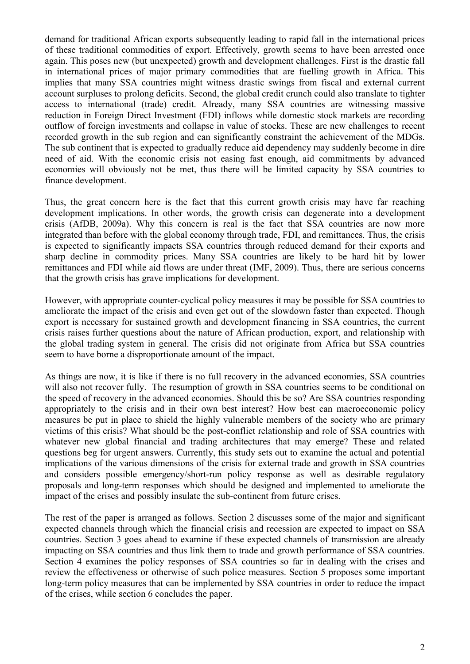demand for traditional African exports subsequently leading to rapid fall in the international prices of these traditional commodities of export. Effectively, growth seems to have been arrested once again. This poses new (but unexpected) growth and development challenges. First is the drastic fall in international prices of major primary commodities that are fuelling growth in Africa. This implies that many SSA countries might witness drastic swings from fiscal and external current account surpluses to prolong deficits. Second, the global credit crunch could also translate to tighter access to international (trade) credit. Already, many SSA countries are witnessing massive reduction in Foreign Direct Investment (FDI) inflows while domestic stock markets are recording outflow of foreign investments and collapse in value of stocks. These are new challenges to recent recorded growth in the sub region and can significantly constraint the achievement of the MDGs. The sub continent that is expected to gradually reduce aid dependency may suddenly become in dire need of aid. With the economic crisis not easing fast enough, aid commitments by advanced economies will obviously not be met, thus there will be limited capacity by SSA countries to finance development.

Thus, the great concern here is the fact that this current growth crisis may have far reaching development implications. In other words, the growth crisis can degenerate into a development crisis (AfDB, 2009a). Why this concern is real is the fact that SSA countries are now more integrated than before with the global economy through trade, FDI, and remittances. Thus, the crisis is expected to significantly impacts SSA countries through reduced demand for their exports and sharp decline in commodity prices. Many SSA countries are likely to be hard hit by lower remittances and FDI while aid flows are under threat (IMF, 2009). Thus, there are serious concerns that the growth crisis has grave implications for development.

However, with appropriate counter-cyclical policy measures it may be possible for SSA countries to ameliorate the impact of the crisis and even get out of the slowdown faster than expected. Though export is necessary for sustained growth and development financing in SSA countries, the current crisis raises further questions about the nature of African production, export, and relationship with the global trading system in general. The crisis did not originate from Africa but SSA countries seem to have borne a disproportionate amount of the impact.

As things are now, it is like if there is no full recovery in the advanced economies, SSA countries will also not recover fully. The resumption of growth in SSA countries seems to be conditional on the speed of recovery in the advanced economies. Should this be so? Are SSA countries responding appropriately to the crisis and in their own best interest? How best can macroeconomic policy measures be put in place to shield the highly vulnerable members of the society who are primary victims of this crisis? What should be the post-conflict relationship and role of SSA countries with whatever new global financial and trading architectures that may emerge? These and related questions beg for urgent answers. Currently, this study sets out to examine the actual and potential implications of the various dimensions of the crisis for external trade and growth in SSA countries and considers possible emergency/short-run policy response as well as desirable regulatory proposals and long-term responses which should be designed and implemented to ameliorate the impact of the crises and possibly insulate the sub-continent from future crises.

The rest of the paper is arranged as follows. Section 2 discusses some of the major and significant expected channels through which the financial crisis and recession are expected to impact on SSA countries. Section 3 goes ahead to examine if these expected channels of transmission are already impacting on SSA countries and thus link them to trade and growth performance of SSA countries. Section 4 examines the policy responses of SSA countries so far in dealing with the crises and review the effectiveness or otherwise of such police measures. Section 5 proposes some important long-term policy measures that can be implemented by SSA countries in order to reduce the impact of the crises, while section 6 concludes the paper.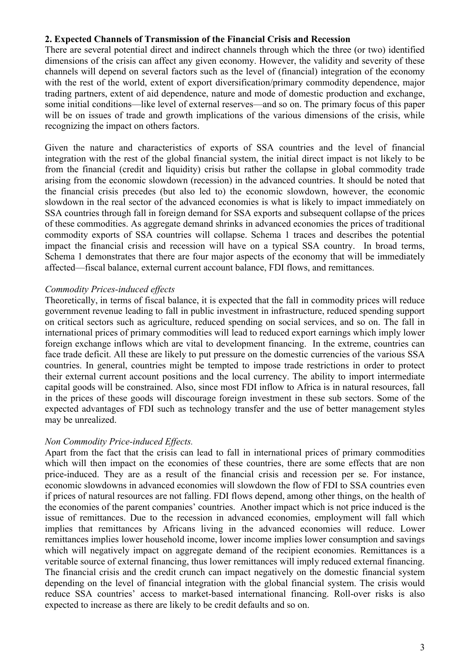## **2. Expected Channels of Transmission of the Financial Crisis and Recession**

There are several potential direct and indirect channels through which the three (or two) identified dimensions of the crisis can affect any given economy. However, the validity and severity of these channels will depend on several factors such as the level of (financial) integration of the economy with the rest of the world, extent of export diversification/primary commodity dependence, major trading partners, extent of aid dependence, nature and mode of domestic production and exchange, some initial conditions—like level of external reserves—and so on. The primary focus of this paper will be on issues of trade and growth implications of the various dimensions of the crisis, while recognizing the impact on others factors.

Given the nature and characteristics of exports of SSA countries and the level of financial integration with the rest of the global financial system, the initial direct impact is not likely to be from the financial (credit and liquidity) crisis but rather the collapse in global commodity trade arising from the economic slowdown (recession) in the advanced countries. It should be noted that the financial crisis precedes (but also led to) the economic slowdown, however, the economic slowdown in the real sector of the advanced economies is what is likely to impact immediately on SSA countries through fall in foreign demand for SSA exports and subsequent collapse of the prices of these commodities. As aggregate demand shrinks in advanced economies the prices of traditional commodity exports of SSA countries will collapse. Schema 1 traces and describes the potential impact the financial crisis and recession will have on a typical SSA country. In broad terms, Schema 1 demonstrates that there are four major aspects of the economy that will be immediately affected—fiscal balance, external current account balance, FDI flows, and remittances.

# *Commodity Prices-induced effects*

Theoretically, in terms of fiscal balance, it is expected that the fall in commodity prices will reduce government revenue leading to fall in public investment in infrastructure, reduced spending support on critical sectors such as agriculture, reduced spending on social services, and so on. The fall in international prices of primary commodities will lead to reduced export earnings which imply lower foreign exchange inflows which are vital to development financing. In the extreme, countries can face trade deficit. All these are likely to put pressure on the domestic currencies of the various SSA countries. In general, countries might be tempted to impose trade restrictions in order to protect their external current account positions and the local currency. The ability to import intermediate capital goods will be constrained. Also, since most FDI inflow to Africa is in natural resources, fall in the prices of these goods will discourage foreign investment in these sub sectors. Some of the expected advantages of FDI such as technology transfer and the use of better management styles may be unrealized.

## *Non Commodity Price-induced Effects.*

Apart from the fact that the crisis can lead to fall in international prices of primary commodities which will then impact on the economies of these countries, there are some effects that are non price-induced. They are as a result of the financial crisis and recession per se. For instance, economic slowdowns in advanced economies will slowdown the flow of FDI to SSA countries even if prices of natural resources are not falling. FDI flows depend, among other things, on the health of the economies of the parent companies' countries. Another impact which is not price induced is the issue of remittances. Due to the recession in advanced economies, employment will fall which implies that remittances by Africans living in the advanced economies will reduce. Lower remittances implies lower household income, lower income implies lower consumption and savings which will negatively impact on aggregate demand of the recipient economies. Remittances is a veritable source of external financing, thus lower remittances will imply reduced external financing. The financial crisis and the credit crunch can impact negatively on the domestic financial system depending on the level of financial integration with the global financial system. The crisis would reduce SSA countries' access to market-based international financing. Roll-over risks is also expected to increase as there are likely to be credit defaults and so on.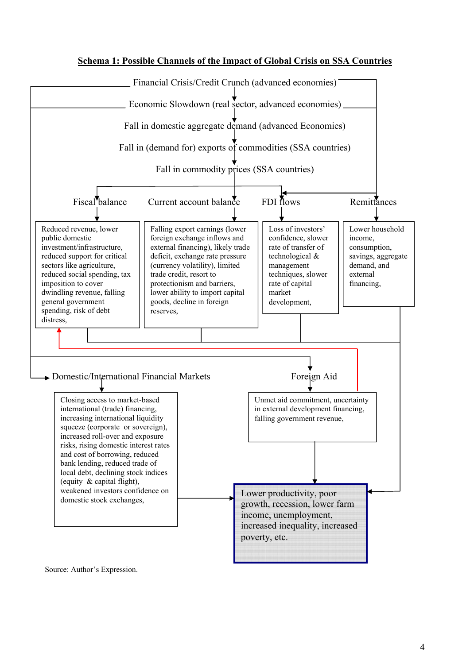



Source: Author's Expression.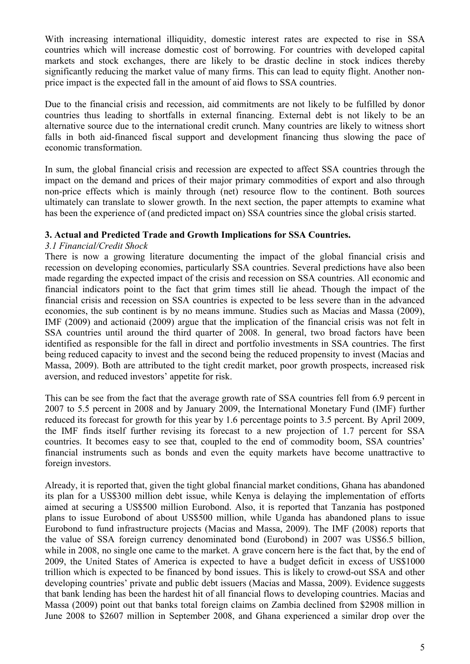With increasing international illiquidity, domestic interest rates are expected to rise in SSA countries which will increase domestic cost of borrowing. For countries with developed capital markets and stock exchanges, there are likely to be drastic decline in stock indices thereby significantly reducing the market value of many firms. This can lead to equity flight. Another nonprice impact is the expected fall in the amount of aid flows to SSA countries.

Due to the financial crisis and recession, aid commitments are not likely to be fulfilled by donor countries thus leading to shortfalls in external financing. External debt is not likely to be an alternative source due to the international credit crunch. Many countries are likely to witness short falls in both aid-financed fiscal support and development financing thus slowing the pace of economic transformation.

In sum, the global financial crisis and recession are expected to affect SSA countries through the impact on the demand and prices of their major primary commodities of export and also through non-price effects which is mainly through (net) resource flow to the continent. Both sources ultimately can translate to slower growth. In the next section, the paper attempts to examine what has been the experience of (and predicted impact on) SSA countries since the global crisis started.

# **3. Actual and Predicted Trade and Growth Implications for SSA Countries.**

## *3.1 Financial/Credit Shock*

There is now a growing literature documenting the impact of the global financial crisis and recession on developing economies, particularly SSA countries. Several predictions have also been made regarding the expected impact of the crisis and recession on SSA countries. All economic and financial indicators point to the fact that grim times still lie ahead. Though the impact of the financial crisis and recession on SSA countries is expected to be less severe than in the advanced economies, the sub continent is by no means immune. Studies such as Macias and Massa (2009), IMF (2009) and actionaid (2009) argue that the implication of the financial crisis was not felt in SSA countries until around the third quarter of 2008. In general, two broad factors have been identified as responsible for the fall in direct and portfolio investments in SSA countries. The first being reduced capacity to invest and the second being the reduced propensity to invest (Macias and Massa, 2009). Both are attributed to the tight credit market, poor growth prospects, increased risk aversion, and reduced investors' appetite for risk.

This can be see from the fact that the average growth rate of SSA countries fell from 6.9 percent in 2007 to 5.5 percent in 2008 and by January 2009, the International Monetary Fund (IMF) further reduced its forecast for growth for this year by 1.6 percentage points to 3.5 percent. By April 2009, the IMF finds itself further revising its forecast to a new projection of 1.7 percent for SSA countries. It becomes easy to see that, coupled to the end of commodity boom, SSA countries' financial instruments such as bonds and even the equity markets have become unattractive to foreign investors.

Already, it is reported that, given the tight global financial market conditions, Ghana has abandoned its plan for a US\$300 million debt issue, while Kenya is delaying the implementation of efforts aimed at securing a US\$500 million Eurobond. Also, it is reported that Tanzania has postponed plans to issue Eurobond of about US\$500 million, while Uganda has abandoned plans to issue Eurobond to fund infrastructure projects (Macias and Massa, 2009). The IMF (2008) reports that the value of SSA foreign currency denominated bond (Eurobond) in 2007 was US\$6.5 billion, while in 2008, no single one came to the market. A grave concern here is the fact that, by the end of 2009, the United States of America is expected to have a budget deficit in excess of US\$1000 trillion which is expected to be financed by bond issues. This is likely to crowd-out SSA and other developing countries' private and public debt issuers (Macias and Massa, 2009). Evidence suggests that bank lending has been the hardest hit of all financial flows to developing countries. Macias and Massa (2009) point out that banks total foreign claims on Zambia declined from \$2908 million in June 2008 to \$2607 million in September 2008, and Ghana experienced a similar drop over the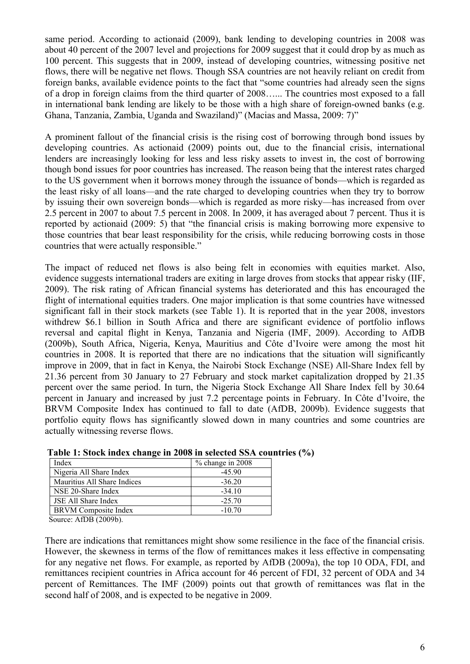same period. According to actionaid (2009), bank lending to developing countries in 2008 was about 40 percent of the 2007 level and projections for 2009 suggest that it could drop by as much as 100 percent. This suggests that in 2009, instead of developing countries, witnessing positive net flows, there will be negative net flows. Though SSA countries are not heavily reliant on credit from foreign banks, available evidence points to the fact that "some countries had already seen the signs of a drop in foreign claims from the third quarter of 2008…... The countries most exposed to a fall in international bank lending are likely to be those with a high share of foreign-owned banks (e.g. Ghana, Tanzania, Zambia, Uganda and Swaziland)" (Macias and Massa, 2009: 7)"

A prominent fallout of the financial crisis is the rising cost of borrowing through bond issues by developing countries. As actionaid (2009) points out, due to the financial crisis, international lenders are increasingly looking for less and less risky assets to invest in, the cost of borrowing though bond issues for poor countries has increased. The reason being that the interest rates charged to the US government when it borrows money through the issuance of bonds—which is regarded as the least risky of all loans—and the rate charged to developing countries when they try to borrow by issuing their own sovereign bonds—which is regarded as more risky—has increased from over 2.5 percent in 2007 to about 7.5 percent in 2008. In 2009, it has averaged about 7 percent. Thus it is reported by actionaid (2009: 5) that "the financial crisis is making borrowing more expensive to those countries that bear least responsibility for the crisis, while reducing borrowing costs in those countries that were actually responsible."

The impact of reduced net flows is also being felt in economies with equities market. Also, evidence suggests international traders are exiting in large droves from stocks that appear risky (IIF, 2009). The risk rating of African financial systems has deteriorated and this has encouraged the flight of international equities traders. One major implication is that some countries have witnessed significant fall in their stock markets (see Table 1). It is reported that in the year 2008, investors withdrew \$6.1 billion in South Africa and there are significant evidence of portfolio inflows reversal and capital flight in Kenya, Tanzania and Nigeria (IMF, 2009). According to AfDB (2009b), South Africa, Nigeria, Kenya, Mauritius and Côte d'Ivoire were among the most hit countries in 2008. It is reported that there are no indications that the situation will significantly improve in 2009, that in fact in Kenya, the Nairobi Stock Exchange (NSE) All-Share Index fell by 21.36 percent from 30 January to 27 February and stock market capitalization dropped by 21.35 percent over the same period. In turn, the Nigeria Stock Exchange All Share Index fell by 30.64 percent in January and increased by just 7.2 percentage points in February. In Côte d'Ivoire, the BRVM Composite Index has continued to fall to date (AfDB, 2009b). Evidence suggests that portfolio equity flows has significantly slowed down in many countries and some countries are actually witnessing reverse flows.

| Index                       | % change in 2008 |
|-----------------------------|------------------|
| Nigeria All Share Index     | $-4590$          |
| Mauritius All Share Indices | $-36.20$         |
| NSE 20-Share Index          | $-34.10$         |
| <b>JSE All Share Index</b>  | $-25.70$         |
| <b>BRVM</b> Composite Index | $-10.70$         |

**Table 1: Stock index change in 2008 in selected SSA countries (%)**

Source: AfDB (2009b).

There are indications that remittances might show some resilience in the face of the financial crisis. However, the skewness in terms of the flow of remittances makes it less effective in compensating for any negative net flows. For example, as reported by AfDB (2009a), the top 10 ODA, FDI, and remittances recipient countries in Africa account for 46 percent of FDI, 32 percent of ODA and 34 percent of Remittances. The IMF (2009) points out that growth of remittances was flat in the second half of 2008, and is expected to be negative in 2009.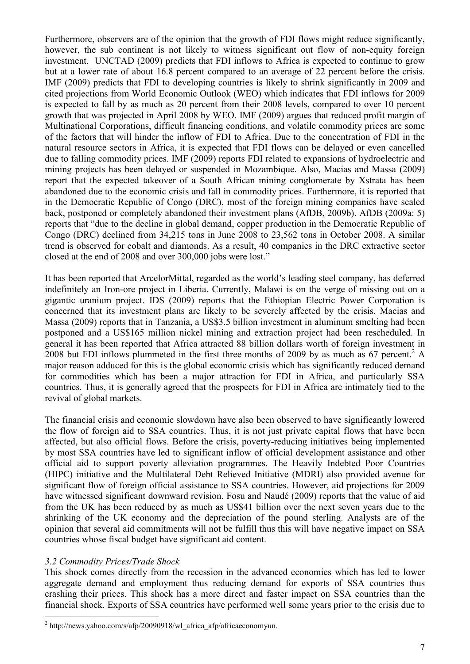Furthermore, observers are of the opinion that the growth of FDI flows might reduce significantly, however, the sub continent is not likely to witness significant out flow of non-equity foreign investment. UNCTAD (2009) predicts that FDI inflows to Africa is expected to continue to grow but at a lower rate of about 16.8 percent compared to an average of 22 percent before the crisis. IMF (2009) predicts that FDI to developing countries is likely to shrink significantly in 2009 and cited projections from World Economic Outlook (WEO) which indicates that FDI inflows for 2009 is expected to fall by as much as 20 percent from their 2008 levels, compared to over 10 percent growth that was projected in April 2008 by WEO. IMF (2009) argues that reduced profit margin of Multinational Corporations, difficult financing conditions, and volatile commodity prices are some of the factors that will hinder the inflow of FDI to Africa. Due to the concentration of FDI in the natural resource sectors in Africa, it is expected that FDI flows can be delayed or even cancelled due to falling commodity prices. IMF (2009) reports FDI related to expansions of hydroelectric and mining projects has been delayed or suspended in Mozambique. Also, Macias and Massa (2009) report that the expected takeover of a South African mining conglomerate by Xstrata has been abandoned due to the economic crisis and fall in commodity prices. Furthermore, it is reported that in the Democratic Republic of Congo (DRC), most of the foreign mining companies have scaled back, postponed or completely abandoned their investment plans (AfDB, 2009b). AfDB (2009a: 5) reports that "due to the decline in global demand, copper production in the Democratic Republic of Congo (DRC) declined from 34,215 tons in June 2008 to 23,562 tons in October 2008. A similar trend is observed for cobalt and diamonds. As a result, 40 companies in the DRC extractive sector closed at the end of 2008 and over 300,000 jobs were lost."

It has been reported that ArcelorMittal, regarded as the world's leading steel company, has deferred indefinitely an Iron-ore project in Liberia. Currently, Malawi is on the verge of missing out on a gigantic uranium project. IDS (2009) reports that the Ethiopian Electric Power Corporation is concerned that its investment plans are likely to be severely affected by the crisis. Macias and Massa (2009) reports that in Tanzania, a US\$3.5 billion investment in aluminum smelting had been postponed and a US\$165 million nickel mining and extraction project had been rescheduled. In general it has been reported that Africa attracted 88 billion dollars worth of foreign investment in 2008 but FDI inflows plummeted in the first three months of 2009 by as much as 67 percent.<sup>2</sup> A major reason adduced for this is the global economic crisis which has significantly reduced demand for commodities which has been a major attraction for FDI in Africa, and particularly SSA countries. Thus, it is generally agreed that the prospects for FDI in Africa are intimately tied to the revival of global markets.

The financial crisis and economic slowdown have also been observed to have significantly lowered the flow of foreign aid to SSA countries. Thus, it is not just private capital flows that have been affected, but also official flows. Before the crisis, poverty-reducing initiatives being implemented by most SSA countries have led to significant inflow of official development assistance and other official aid to support poverty alleviation programmes. The Heavily Indebted Poor Countries (HIPC) initiative and the Multilateral Debt Relieved Initiative (MDRI) also provided avenue for significant flow of foreign official assistance to SSA countries. However, aid projections for 2009 have witnessed significant downward revision. Fosu and Naudé (2009) reports that the value of aid from the UK has been reduced by as much as US\$41 billion over the next seven years due to the shrinking of the UK economy and the depreciation of the pound sterling. Analysts are of the opinion that several aid commitments will not be fulfill thus this will have negative impact on SSA countries whose fiscal budget have significant aid content.

# *3.2 Commodity Prices/Trade Shock*

 $\overline{a}$ 

This shock comes directly from the recession in the advanced economies which has led to lower aggregate demand and employment thus reducing demand for exports of SSA countries thus crashing their prices. This shock has a more direct and faster impact on SSA countries than the financial shock. Exports of SSA countries have performed well some years prior to the crisis due to

 $2 \text{ http://news.yahoo.com/s/afp/20090918/wl africa afp/africaeconomyun.}$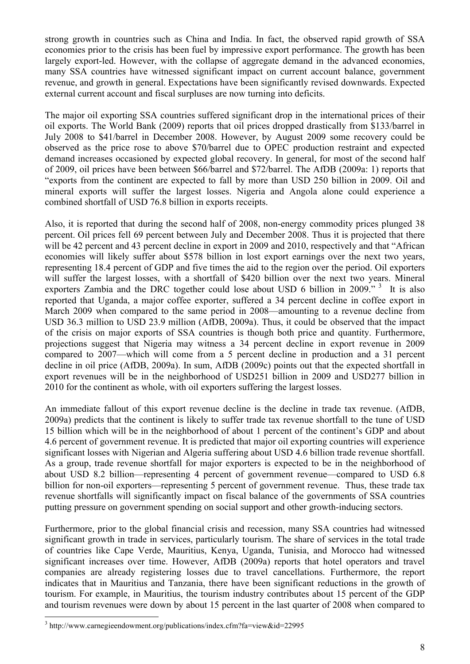strong growth in countries such as China and India. In fact, the observed rapid growth of SSA economies prior to the crisis has been fuel by impressive export performance. The growth has been largely export-led. However, with the collapse of aggregate demand in the advanced economies, many SSA countries have witnessed significant impact on current account balance, government revenue, and growth in general. Expectations have been significantly revised downwards. Expected external current account and fiscal surpluses are now turning into deficits.

The major oil exporting SSA countries suffered significant drop in the international prices of their oil exports. The World Bank (2009) reports that oil prices dropped drastically from \$133/barrel in July 2008 to \$41/barrel in December 2008. However, by August 2009 some recovery could be observed as the price rose to above \$70/barrel due to OPEC production restraint and expected demand increases occasioned by expected global recovery. In general, for most of the second half of 2009, oil prices have been between \$66/barrel and \$72/barrel. The AfDB (2009a: 1) reports that "exports from the continent are expected to fall by more than USD 250 billion in 2009. Oil and mineral exports will suffer the largest losses. Nigeria and Angola alone could experience a combined shortfall of USD 76.8 billion in exports receipts.

Also, it is reported that during the second half of 2008, non-energy commodity prices plunged 38 percent. Oil prices fell 69 percent between July and December 2008. Thus it is projected that there will be 42 percent and 43 percent decline in export in 2009 and 2010, respectively and that "African" economies will likely suffer about \$578 billion in lost export earnings over the next two years, representing 18.4 percent of GDP and five times the aid to the region over the period. Oil exporters will suffer the largest losses, with a shortfall of \$420 billion over the next two years. Mineral exporters Zambia and the DRC together could lose about USD 6 billion in 2009.<sup> $\frac{3}{10}$ </sup> It is also reported that Uganda, a major coffee exporter, suffered a 34 percent decline in coffee export in March 2009 when compared to the same period in 2008—amounting to a revenue decline from USD 36.3 million to USD 23.9 million (AfDB, 2009a). Thus, it could be observed that the impact of the crisis on major exports of SSA countries is though both price and quantity. Furthermore, projections suggest that Nigeria may witness a 34 percent decline in export revenue in 2009 compared to 2007—which will come from a 5 percent decline in production and a 31 percent decline in oil price (AfDB, 2009a). In sum, AfDB (2009c) points out that the expected shortfall in export revenues will be in the neighborhood of USD251 billion in 2009 and USD277 billion in 2010 for the continent as whole, with oil exporters suffering the largest losses.

An immediate fallout of this export revenue decline is the decline in trade tax revenue. (AfDB, 2009a) predicts that the continent is likely to suffer trade tax revenue shortfall to the tune of USD 15 billion which will be in the neighborhood of about 1 percent of the continent's GDP and about 4.6 percent of government revenue. It is predicted that major oil exporting countries will experience significant losses with Nigerian and Algeria suffering about USD 4.6 billion trade revenue shortfall. As a group, trade revenue shortfall for major exporters is expected to be in the neighborhood of about USD 8.2 billion—representing 4 percent of government revenue—compared to USD 6.8 billion for non-oil exporters—representing 5 percent of government revenue. Thus, these trade tax revenue shortfalls will significantly impact on fiscal balance of the governments of SSA countries putting pressure on government spending on social support and other growth-inducing sectors.

Furthermore, prior to the global financial crisis and recession, many SSA countries had witnessed significant growth in trade in services, particularly tourism. The share of services in the total trade of countries like Cape Verde, Mauritius, Kenya, Uganda, Tunisia, and Morocco had witnessed significant increases over time. However, AfDB (2009a) reports that hotel operators and travel companies are already registering losses due to travel cancellations. Furthermore, the report indicates that in Mauritius and Tanzania, there have been significant reductions in the growth of tourism. For example, in Mauritius, the tourism industry contributes about 15 percent of the GDP and tourism revenues were down by about 15 percent in the last quarter of 2008 when compared to

 $\overline{a}$ 

<sup>3</sup> http://www.carnegieendowment.org/publications/index.cfm?fa=view&id=22995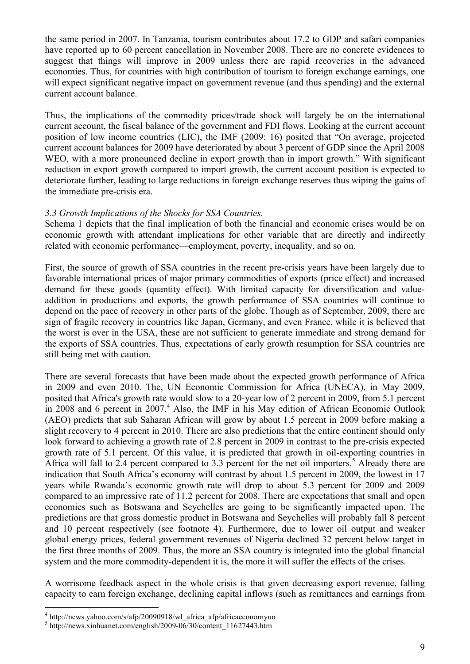the same period in 2007. In Tanzania, tourism contributes about 17.2 to GDP and safari companies have reported up to 60 percent cancellation in November 2008. There are no concrete evidences to suggest that things will improve in 2009 unless there are rapid recoveries in the advanced economies. Thus, for countries with high contribution of tourism to foreign exchange earnings, one will expect significant negative impact on government revenue (and thus spending) and the external current account balance.

Thus, the implications of the commodity prices/trade shock will largely be on the international current account, the fiscal balance of the government and FDI flows. Looking at the current account position of low income countries (LIC), the IMF (2009: 16) posited that "On average, projected current account balances for 2009 have deteriorated by about 3 percent of GDP since the April 2008 WEO, with a more pronounced decline in export growth than in import growth." With significant reduction in export growth compared to import growth, the current account position is expected to deteriorate further, leading to large reductions in foreign exchange reserves thus wiping the gains of the immediate pre-crisis era.

## *3.3 Growth Implications of the Shocks for SSA Countries.*

Schema 1 depicts that the final implication of both the financial and economic crises would be on economic growth with attendant implications for other variable that are directly and indirectly related with economic performance—employment, poverty, inequality, and so on.

First, the source of growth of SSA countries in the recent pre-crisis years have been largely due to favorable international prices of major primary commodities of exports (price effect) and increased demand for these goods (quantity effect). With limited capacity for diversification and valueaddition in productions and exports, the growth performance of SSA countries will continue to depend on the pace of recovery in other parts of the globe. Though as of September, 2009, there are sign of fragile recovery in countries like Japan, Germany, and even France, while it is believed that the worst is over in the USA, these are not sufficient to generate immediate and strong demand for the exports of SSA countries. Thus, expectations of early growth resumption for SSA countries are still being met with caution.

There are several forecasts that have been made about the expected growth performance of Africa in 2009 and even 2010. The, UN Economic Commission for Africa (UNECA), in May 2009, posited that Africa's growth rate would slow to a 20-year low of 2 percent in 2009, from 5.1 percent in 2008 and 6 percent in 2007.<sup>4</sup> Also, the IMF in his May edition of African Economic Outlook (AEO) predicts that sub Saharan African will grow by about 1.5 percent in 2009 before making a slight recovery to 4 percent in 2010. There are also predictions that the entire continent should only look forward to achieving a growth rate of 2.8 percent in 2009 in contrast to the pre-crisis expected growth rate of 5.1 percent. Of this value, it is predicted that growth in oil-exporting countries in Africa will fall to 2.4 percent compared to 3.3 percent for the net oil importers.<sup>5</sup> Already there are indication that South Africa's economy will contrast by about 1.5 percent in 2009, the lowest in 17 years while Rwanda's economic growth rate will drop to about 5.3 percent for 2009 and 2009 compared to an impressive rate of 11.2 percent for 2008. There are expectations that small and open economies such as Botswana and Seychelles are going to be significantly impacted upon. The predictions are that gross domestic product in Botswana and Seychelles will probably fall 8 percent and 10 percent respectively (see footnote 4). Furthermore, due to lower oil output and weaker global energy prices, federal government revenues of Nigeria declined 32 percent below target in the first three months of 2009. Thus, the more an SSA country is integrated into the global financial system and the more commodity-dependent it is, the more it will suffer the effects of the crises.

A worrisome feedback aspect in the whole crisis is that given decreasing export revenue, falling capacity to earn foreign exchange, declining capital inflows (such as remittances and earnings from

 $\overline{a}$ 

<sup>&</sup>lt;sup>4</sup> http://news.yahoo.com/s/afp/20090918/wl\_africa\_afp/africaeconomyun

 $5 \text{ http://news.xinhuanet.com/english/2009-06/30/content}$  11627443.htm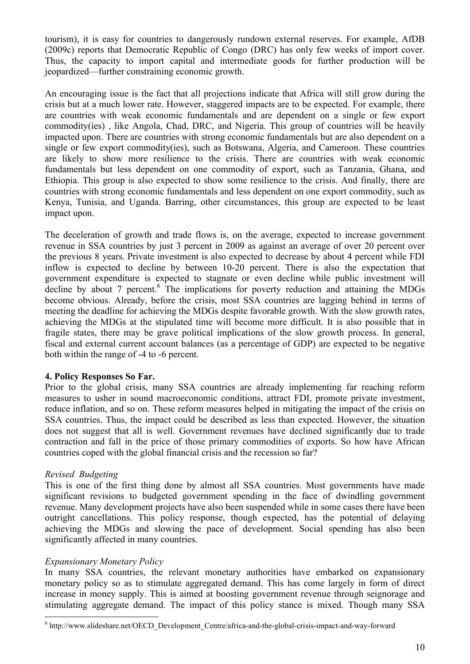tourism), it is easy for countries to dangerously rundown external reserves. For example, AfDB (2009c) reports that Democratic Republic of Congo (DRC) has only few weeks of import cover. Thus, the capacity to import capital and intermediate goods for further production will be jeopardized—further constraining economic growth.

An encouraging issue is the fact that all projections indicate that Africa will still grow during the crisis but at a much lower rate. However, staggered impacts are to be expected. For example, there are countries with weak economic fundamentals and are dependent on a single or few export commodity(ies) , like Angola, Chad, DRC, and Nigeria. This group of countries will be heavily impacted upon. There are countries with strong economic fundamentals but are also dependent on a single or few export commodity(ies), such as Botswana, Algeria, and Cameroon. These countries are likely to show more resilience to the crisis. There are countries with weak economic fundamentals but less dependent on one commodity of export, such as Tanzania, Ghana, and Ethiopia. This group is also expected to show some resilience to the crisis. And finally, there are countries with strong economic fundamentals and less dependent on one export commodity, such as Kenya, Tunisia, and Uganda. Barring, other circumstances, this group are expected to be least impact upon.

The deceleration of growth and trade flows is, on the average, expected to increase government revenue in SSA countries by just 3 percent in 2009 as against an average of over 20 percent over the previous 8 years. Private investment is also expected to decrease by about 4 percent while FDI inflow is expected to decline by between 10-20 percent. There is also the expectation that government expenditure is expected to stagnate or even decline while public investment will decline by about 7 percent.<sup>6</sup> The implications for poverty reduction and attaining the MDGs become obvious. Already, before the crisis, most SSA countries are lagging behind in terms of meeting the deadline for achieving the MDGs despite favorable growth. With the slow growth rates, achieving the MDGs at the stipulated time will become more difficult. It is also possible that in fragile states, there may be grave political implications of the slow growth process. In general, fiscal and external current account balances (as a percentage of GDP) are expected to be negative both within the range of -4 to -6 percent.

## **4. Policy Responses So Far.**

Prior to the global crisis, many SSA countries are already implementing far reaching reform measures to usher in sound macroeconomic conditions, attract FDI, promote private investment, reduce inflation, and so on. These reform measures helped in mitigating the impact of the crisis on SSA countries. Thus, the impact could be described as less than expected. However, the situation does not suggest that all is well. Government revenues have declined significantly due to trade contraction and fall in the price of those primary commodities of exports. So how have African countries coped with the global financial crisis and the recession so far?

# *Revised Budgeting*

 $\overline{a}$ 

This is one of the first thing done by almost all SSA countries. Most governments have made significant revisions to budgeted government spending in the face of dwindling government revenue. Many development projects have also been suspended while in some cases there have been outright cancellations. This policy response, though expected, has the potential of delaying achieving the MDGs and slowing the pace of development. Social spending has also been significantly affected in many countries.

# *Expansionary Monetary Policy*

In many SSA countries, the relevant monetary authorities have embarked on expansionary monetary policy so as to stimulate aggregated demand. This has come largely in form of direct increase in money supply. This is aimed at boosting government revenue through seignorage and stimulating aggregate demand. The impact of this policy stance is mixed. Though many SSA

<sup>&</sup>lt;sup>6</sup> http://www.slideshare.net/OECD\_Development\_Centre/africa-and-the-global-crisis-impact-and-way-forward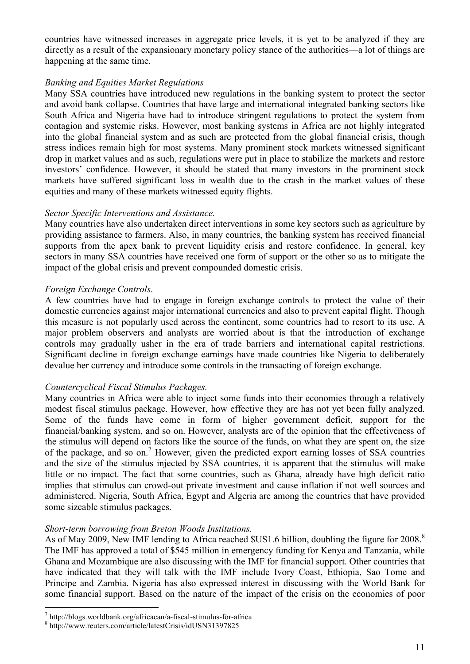countries have witnessed increases in aggregate price levels, it is yet to be analyzed if they are directly as a result of the expansionary monetary policy stance of the authorities—a lot of things are happening at the same time.

## *Banking and Equities Market Regulations*

Many SSA countries have introduced new regulations in the banking system to protect the sector and avoid bank collapse. Countries that have large and international integrated banking sectors like South Africa and Nigeria have had to introduce stringent regulations to protect the system from contagion and systemic risks. However, most banking systems in Africa are not highly integrated into the global financial system and as such are protected from the global financial crisis, though stress indices remain high for most systems. Many prominent stock markets witnessed significant drop in market values and as such, regulations were put in place to stabilize the markets and restore investors' confidence. However, it should be stated that many investors in the prominent stock markets have suffered significant loss in wealth due to the crash in the market values of these equities and many of these markets witnessed equity flights.

## *Sector Specific Interventions and Assistance.*

Many countries have also undertaken direct interventions in some key sectors such as agriculture by providing assistance to farmers. Also, in many countries, the banking system has received financial supports from the apex bank to prevent liquidity crisis and restore confidence. In general, key sectors in many SSA countries have received one form of support or the other so as to mitigate the impact of the global crisis and prevent compounded domestic crisis.

# *Foreign Exchange Controls*.

A few countries have had to engage in foreign exchange controls to protect the value of their domestic currencies against major international currencies and also to prevent capital flight. Though this measure is not popularly used across the continent, some countries had to resort to its use. A major problem observers and analysts are worried about is that the introduction of exchange controls may gradually usher in the era of trade barriers and international capital restrictions. Significant decline in foreign exchange earnings have made countries like Nigeria to deliberately devalue her currency and introduce some controls in the transacting of foreign exchange.

# *Countercyclical Fiscal Stimulus Packages.*

Many countries in Africa were able to inject some funds into their economies through a relatively modest fiscal stimulus package. However, how effective they are has not yet been fully analyzed. Some of the funds have come in form of higher government deficit, support for the financial/banking system, and so on. However, analysts are of the opinion that the effectiveness of the stimulus will depend on factors like the source of the funds, on what they are spent on, the size of the package, and so on.<sup>7</sup> However, given the predicted export earning losses of SSA countries and the size of the stimulus injected by SSA countries, it is apparent that the stimulus will make little or no impact. The fact that some countries, such as Ghana, already have high deficit ratio implies that stimulus can crowd-out private investment and cause inflation if not well sources and administered. Nigeria, South Africa, Egypt and Algeria are among the countries that have provided some sizeable stimulus packages.

## *Short-term borrowing from Breton Woods Institutions.*

As of May 2009, New IMF lending to Africa reached \$US1.6 billion, doubling the figure for 2008.<sup>8</sup> The IMF has approved a total of \$545 million in emergency funding for Kenya and Tanzania, while Ghana and Mozambique are also discussing with the IMF for financial support. Other countries that have indicated that they will talk with the IMF include Ivory Coast, Ethiopia, Sao Tome and Principe and Zambia. Nigeria has also expressed interest in discussing with the World Bank for some financial support. Based on the nature of the impact of the crisis on the economies of poor

 $\overline{a}$ 

<sup>7</sup> http://blogs.worldbank.org/africacan/a-fiscal-stimulus-for-africa

<sup>8</sup> http://www.reuters.com/article/latestCrisis/idUSN31397825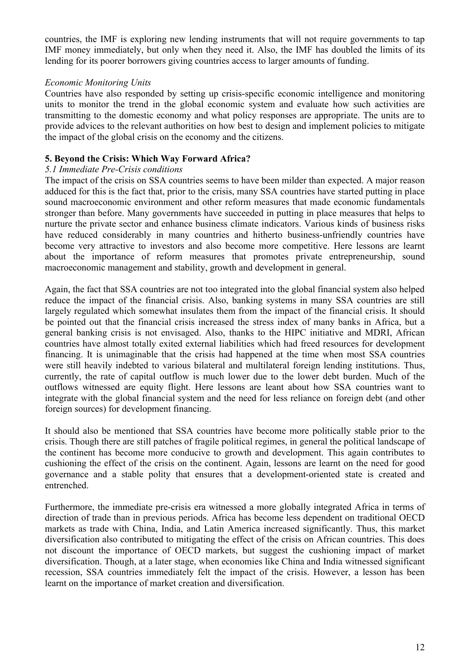countries, the IMF is exploring new lending instruments that will not require governments to tap IMF money immediately, but only when they need it. Also, the IMF has doubled the limits of its lending for its poorer borrowers giving countries access to larger amounts of funding.

## *Economic Monitoring Units*

Countries have also responded by setting up crisis-specific economic intelligence and monitoring units to monitor the trend in the global economic system and evaluate how such activities are transmitting to the domestic economy and what policy responses are appropriate. The units are to provide advices to the relevant authorities on how best to design and implement policies to mitigate the impact of the global crisis on the economy and the citizens.

## **5. Beyond the Crisis: Which Way Forward Africa?**

## *5.1 Immediate Pre-Crisis conditions*

The impact of the crisis on SSA countries seems to have been milder than expected. A major reason adduced for this is the fact that, prior to the crisis, many SSA countries have started putting in place sound macroeconomic environment and other reform measures that made economic fundamentals stronger than before. Many governments have succeeded in putting in place measures that helps to nurture the private sector and enhance business climate indicators. Various kinds of business risks have reduced considerably in many countries and hitherto business-unfriendly countries have become very attractive to investors and also become more competitive. Here lessons are learnt about the importance of reform measures that promotes private entrepreneurship, sound macroeconomic management and stability, growth and development in general.

Again, the fact that SSA countries are not too integrated into the global financial system also helped reduce the impact of the financial crisis. Also, banking systems in many SSA countries are still largely regulated which somewhat insulates them from the impact of the financial crisis. It should be pointed out that the financial crisis increased the stress index of many banks in Africa, but a general banking crisis is not envisaged. Also, thanks to the HIPC initiative and MDRI, African countries have almost totally exited external liabilities which had freed resources for development financing. It is unimaginable that the crisis had happened at the time when most SSA countries were still heavily indebted to various bilateral and multilateral foreign lending institutions. Thus, currently, the rate of capital outflow is much lower due to the lower debt burden. Much of the outflows witnessed are equity flight. Here lessons are leant about how SSA countries want to integrate with the global financial system and the need for less reliance on foreign debt (and other foreign sources) for development financing.

It should also be mentioned that SSA countries have become more politically stable prior to the crisis. Though there are still patches of fragile political regimes, in general the political landscape of the continent has become more conducive to growth and development. This again contributes to cushioning the effect of the crisis on the continent. Again, lessons are learnt on the need for good governance and a stable polity that ensures that a development-oriented state is created and entrenched.

Furthermore, the immediate pre-crisis era witnessed a more globally integrated Africa in terms of direction of trade than in previous periods. Africa has become less dependent on traditional OECD markets as trade with China, India, and Latin America increased significantly. Thus, this market diversification also contributed to mitigating the effect of the crisis on African countries. This does not discount the importance of OECD markets, but suggest the cushioning impact of market diversification. Though, at a later stage, when economies like China and India witnessed significant recession, SSA countries immediately felt the impact of the crisis. However, a lesson has been learnt on the importance of market creation and diversification.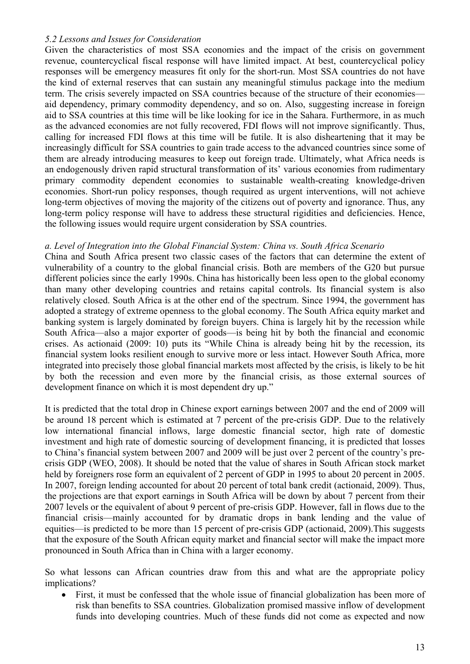## *5.2 Lessons and Issues for Consideration*

Given the characteristics of most SSA economies and the impact of the crisis on government revenue, countercyclical fiscal response will have limited impact. At best, countercyclical policy responses will be emergency measures fit only for the short-run. Most SSA countries do not have the kind of external reserves that can sustain any meaningful stimulus package into the medium term. The crisis severely impacted on SSA countries because of the structure of their economies aid dependency, primary commodity dependency, and so on. Also, suggesting increase in foreign aid to SSA countries at this time will be like looking for ice in the Sahara. Furthermore, in as much as the advanced economies are not fully recovered, FDI flows will not improve significantly. Thus, calling for increased FDI flows at this time will be futile. It is also disheartening that it may be increasingly difficult for SSA countries to gain trade access to the advanced countries since some of them are already introducing measures to keep out foreign trade. Ultimately, what Africa needs is an endogenously driven rapid structural transformation of its' various economies from rudimentary primary commodity dependent economies to sustainable wealth-creating knowledge-driven economies. Short-run policy responses, though required as urgent interventions, will not achieve long-term objectives of moving the majority of the citizens out of poverty and ignorance. Thus, any long-term policy response will have to address these structural rigidities and deficiencies. Hence, the following issues would require urgent consideration by SSA countries.

## *a. Level of Integration into the Global Financial System: China vs. South Africa Scenario*

China and South Africa present two classic cases of the factors that can determine the extent of vulnerability of a country to the global financial crisis. Both are members of the G20 but pursue different policies since the early 1990s. China has historically been less open to the global economy than many other developing countries and retains capital controls. Its financial system is also relatively closed. South Africa is at the other end of the spectrum. Since 1994, the government has adopted a strategy of extreme openness to the global economy. The South Africa equity market and banking system is largely dominated by foreign buyers. China is largely hit by the recession while South Africa—also a major exporter of goods—is being hit by both the financial and economic crises. As actionaid (2009: 10) puts its "While China is already being hit by the recession, its financial system looks resilient enough to survive more or less intact. However South Africa, more integrated into precisely those global financial markets most affected by the crisis, is likely to be hit by both the recession and even more by the financial crisis, as those external sources of development finance on which it is most dependent dry up."

It is predicted that the total drop in Chinese export earnings between 2007 and the end of 2009 will be around 18 percent which is estimated at 7 percent of the pre-crisis GDP. Due to the relatively low international financial inflows, large domestic financial sector, high rate of domestic investment and high rate of domestic sourcing of development financing, it is predicted that losses to China's financial system between 2007 and 2009 will be just over 2 percent of the country's precrisis GDP (WEO, 2008). It should be noted that the value of shares in South African stock market held by foreigners rose form an equivalent of 2 percent of GDP in 1995 to about 20 percent in 2005. In 2007, foreign lending accounted for about 20 percent of total bank credit (actionaid, 2009). Thus, the projections are that export earnings in South Africa will be down by about 7 percent from their 2007 levels or the equivalent of about 9 percent of pre-crisis GDP. However, fall in flows due to the financial crisis—mainly accounted for by dramatic drops in bank lending and the value of equities—is predicted to be more than 15 percent of pre-crisis GDP (actionaid, 2009).This suggests that the exposure of the South African equity market and financial sector will make the impact more pronounced in South Africa than in China with a larger economy.

So what lessons can African countries draw from this and what are the appropriate policy implications?

 First, it must be confessed that the whole issue of financial globalization has been more of risk than benefits to SSA countries. Globalization promised massive inflow of development funds into developing countries. Much of these funds did not come as expected and now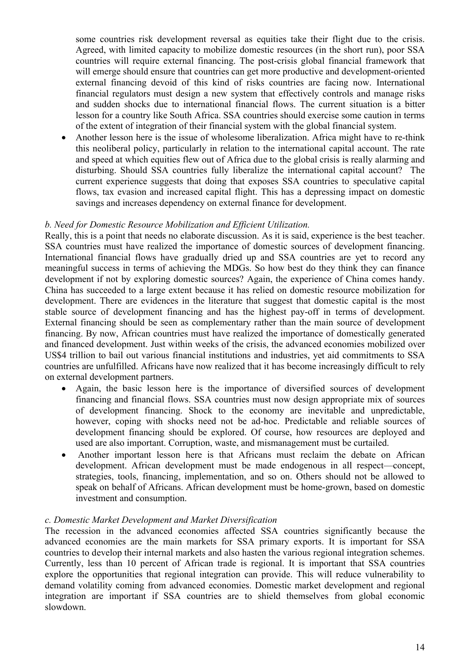some countries risk development reversal as equities take their flight due to the crisis. Agreed, with limited capacity to mobilize domestic resources (in the short run), poor SSA countries will require external financing. The post-crisis global financial framework that will emerge should ensure that countries can get more productive and development-oriented external financing devoid of this kind of risks countries are facing now. International financial regulators must design a new system that effectively controls and manage risks and sudden shocks due to international financial flows. The current situation is a bitter lesson for a country like South Africa. SSA countries should exercise some caution in terms of the extent of integration of their financial system with the global financial system.

 Another lesson here is the issue of wholesome liberalization. Africa might have to re-think this neoliberal policy, particularly in relation to the international capital account. The rate and speed at which equities flew out of Africa due to the global crisis is really alarming and disturbing. Should SSA countries fully liberalize the international capital account? The current experience suggests that doing that exposes SSA countries to speculative capital flows, tax evasion and increased capital flight. This has a depressing impact on domestic savings and increases dependency on external finance for development.

## *b. Need for Domestic Resource Mobilization and Efficient Utilization.*

Really, this is a point that needs no elaborate discussion. As it is said, experience is the best teacher. SSA countries must have realized the importance of domestic sources of development financing. International financial flows have gradually dried up and SSA countries are yet to record any meaningful success in terms of achieving the MDGs. So how best do they think they can finance development if not by exploring domestic sources? Again, the experience of China comes handy. China has succeeded to a large extent because it has relied on domestic resource mobilization for development. There are evidences in the literature that suggest that domestic capital is the most stable source of development financing and has the highest pay-off in terms of development. External financing should be seen as complementary rather than the main source of development financing. By now, African countries must have realized the importance of domestically generated and financed development. Just within weeks of the crisis, the advanced economies mobilized over US\$4 trillion to bail out various financial institutions and industries, yet aid commitments to SSA countries are unfulfilled. Africans have now realized that it has become increasingly difficult to rely on external development partners.

- Again, the basic lesson here is the importance of diversified sources of development financing and financial flows. SSA countries must now design appropriate mix of sources of development financing. Shock to the economy are inevitable and unpredictable, however, coping with shocks need not be ad-hoc. Predictable and reliable sources of development financing should be explored. Of course, how resources are deployed and used are also important. Corruption, waste, and mismanagement must be curtailed.
- Another important lesson here is that Africans must reclaim the debate on African development. African development must be made endogenous in all respect—concept, strategies, tools, financing, implementation, and so on. Others should not be allowed to speak on behalf of Africans. African development must be home-grown, based on domestic investment and consumption.

## *c. Domestic Market Development and Market Diversification*

The recession in the advanced economies affected SSA countries significantly because the advanced economies are the main markets for SSA primary exports. It is important for SSA countries to develop their internal markets and also hasten the various regional integration schemes. Currently, less than 10 percent of African trade is regional. It is important that SSA countries explore the opportunities that regional integration can provide. This will reduce vulnerability to demand volatility coming from advanced economies. Domestic market development and regional integration are important if SSA countries are to shield themselves from global economic slowdown.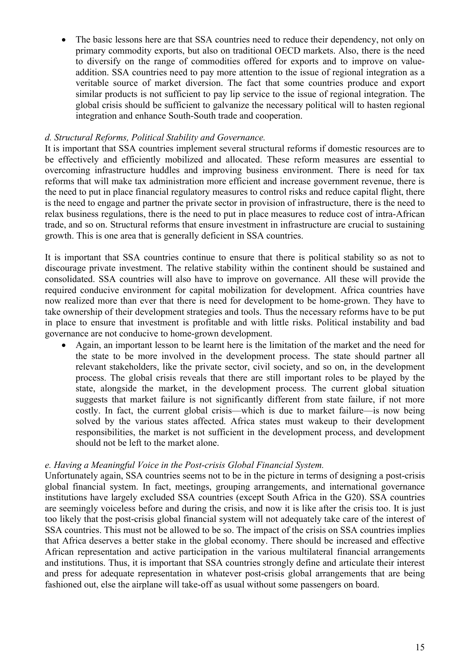The basic lessons here are that SSA countries need to reduce their dependency, not only on primary commodity exports, but also on traditional OECD markets. Also, there is the need to diversify on the range of commodities offered for exports and to improve on valueaddition. SSA countries need to pay more attention to the issue of regional integration as a veritable source of market diversion. The fact that some countries produce and export similar products is not sufficient to pay lip service to the issue of regional integration. The global crisis should be sufficient to galvanize the necessary political will to hasten regional integration and enhance South-South trade and cooperation.

# *d. Structural Reforms, Political Stability and Governance.*

It is important that SSA countries implement several structural reforms if domestic resources are to be effectively and efficiently mobilized and allocated. These reform measures are essential to overcoming infrastructure huddles and improving business environment. There is need for tax reforms that will make tax administration more efficient and increase government revenue, there is the need to put in place financial regulatory measures to control risks and reduce capital flight, there is the need to engage and partner the private sector in provision of infrastructure, there is the need to relax business regulations, there is the need to put in place measures to reduce cost of intra-African trade, and so on. Structural reforms that ensure investment in infrastructure are crucial to sustaining growth. This is one area that is generally deficient in SSA countries.

It is important that SSA countries continue to ensure that there is political stability so as not to discourage private investment. The relative stability within the continent should be sustained and consolidated. SSA countries will also have to improve on governance. All these will provide the required conducive environment for capital mobilization for development. Africa countries have now realized more than ever that there is need for development to be home-grown. They have to take ownership of their development strategies and tools. Thus the necessary reforms have to be put in place to ensure that investment is profitable and with little risks. Political instability and bad governance are not conducive to home-grown development.

 Again, an important lesson to be learnt here is the limitation of the market and the need for the state to be more involved in the development process. The state should partner all relevant stakeholders, like the private sector, civil society, and so on, in the development process. The global crisis reveals that there are still important roles to be played by the state, alongside the market, in the development process. The current global situation suggests that market failure is not significantly different from state failure, if not more costly. In fact, the current global crisis—which is due to market failure—is now being solved by the various states affected. Africa states must wakeup to their development responsibilities, the market is not sufficient in the development process, and development should not be left to the market alone.

## *e. Having a Meaningful Voice in the Post-crisis Global Financial System.*

Unfortunately again, SSA countries seems not to be in the picture in terms of designing a post-crisis global financial system. In fact, meetings, grouping arrangements, and international governance institutions have largely excluded SSA countries (except South Africa in the G20). SSA countries are seemingly voiceless before and during the crisis, and now it is like after the crisis too. It is just too likely that the post-crisis global financial system will not adequately take care of the interest of SSA countries. This must not be allowed to be so. The impact of the crisis on SSA countries implies that Africa deserves a better stake in the global economy. There should be increased and effective African representation and active participation in the various multilateral financial arrangements and institutions. Thus, it is important that SSA countries strongly define and articulate their interest and press for adequate representation in whatever post-crisis global arrangements that are being fashioned out, else the airplane will take-off as usual without some passengers on board.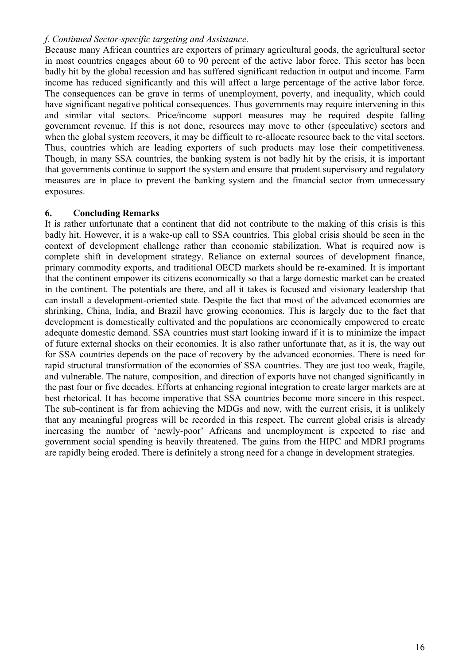## *f. Continued Sector-specific targeting and Assistance.*

Because many African countries are exporters of primary agricultural goods, the agricultural sector in most countries engages about 60 to 90 percent of the active labor force. This sector has been badly hit by the global recession and has suffered significant reduction in output and income. Farm income has reduced significantly and this will affect a large percentage of the active labor force. The consequences can be grave in terms of unemployment, poverty, and inequality, which could have significant negative political consequences. Thus governments may require intervening in this and similar vital sectors. Price/income support measures may be required despite falling government revenue. If this is not done, resources may move to other (speculative) sectors and when the global system recovers, it may be difficult to re-allocate resource back to the vital sectors. Thus, countries which are leading exporters of such products may lose their competitiveness. Though, in many SSA countries, the banking system is not badly hit by the crisis, it is important that governments continue to support the system and ensure that prudent supervisory and regulatory measures are in place to prevent the banking system and the financial sector from unnecessary exposures.

# **6. Concluding Remarks**

It is rather unfortunate that a continent that did not contribute to the making of this crisis is this badly hit. However, it is a wake-up call to SSA countries. This global crisis should be seen in the context of development challenge rather than economic stabilization. What is required now is complete shift in development strategy. Reliance on external sources of development finance, primary commodity exports, and traditional OECD markets should be re-examined. It is important that the continent empower its citizens economically so that a large domestic market can be created in the continent. The potentials are there, and all it takes is focused and visionary leadership that can install a development-oriented state. Despite the fact that most of the advanced economies are shrinking, China, India, and Brazil have growing economies. This is largely due to the fact that development is domestically cultivated and the populations are economically empowered to create adequate domestic demand. SSA countries must start looking inward if it is to minimize the impact of future external shocks on their economies. It is also rather unfortunate that, as it is, the way out for SSA countries depends on the pace of recovery by the advanced economies. There is need for rapid structural transformation of the economies of SSA countries. They are just too weak, fragile, and vulnerable. The nature, composition, and direction of exports have not changed significantly in the past four or five decades. Efforts at enhancing regional integration to create larger markets are at best rhetorical. It has become imperative that SSA countries become more sincere in this respect. The sub-continent is far from achieving the MDGs and now, with the current crisis, it is unlikely that any meaningful progress will be recorded in this respect. The current global crisis is already increasing the number of 'newly-poor' Africans and unemployment is expected to rise and government social spending is heavily threatened. The gains from the HIPC and MDRI programs are rapidly being eroded. There is definitely a strong need for a change in development strategies.